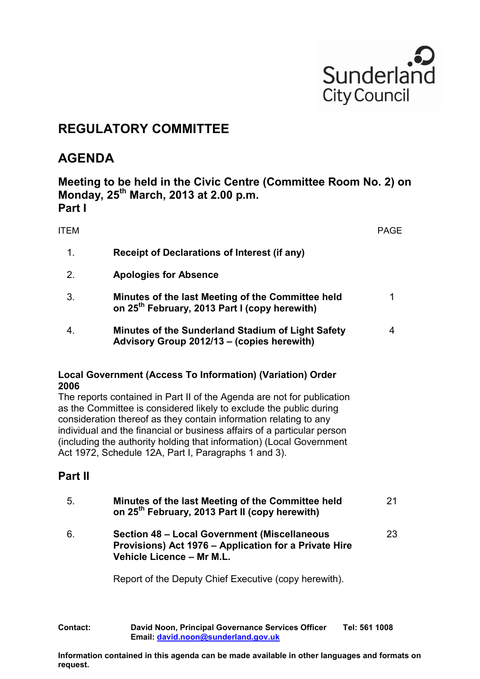

## **REGULATORY COMMITTEE**

## **AGENDA**

**Meeting to be held in the Civic Centre (Committee Room No. 2) on Monday, 25th March, 2013 at 2.00 p.m. Part I** 

| <b>ITEM</b> |                                                                                                                                                                                                                                                                                                                                                                                                                              | <b>PAGE</b>    |
|-------------|------------------------------------------------------------------------------------------------------------------------------------------------------------------------------------------------------------------------------------------------------------------------------------------------------------------------------------------------------------------------------------------------------------------------------|----------------|
| 1.          | <b>Receipt of Declarations of Interest (if any)</b>                                                                                                                                                                                                                                                                                                                                                                          |                |
| 2.          | <b>Apologies for Absence</b>                                                                                                                                                                                                                                                                                                                                                                                                 |                |
| 3.          | Minutes of the last Meeting of the Committee held<br>on 25 <sup>th</sup> February, 2013 Part I (copy herewith)                                                                                                                                                                                                                                                                                                               | 1              |
| 4.          | Minutes of the Sunderland Stadium of Light Safety<br>Advisory Group 2012/13 - (copies herewith)                                                                                                                                                                                                                                                                                                                              | $\overline{4}$ |
| 2006        | Local Government (Access To Information) (Variation) Order                                                                                                                                                                                                                                                                                                                                                                   |                |
|             | The reports contained in Part II of the Agenda are not for publication<br>as the Committee is considered likely to exclude the public during<br>consideration thereof as they contain information relating to any<br>individual and the financial or business affairs of a particular person<br>(including the authority holding that information) (Local Government<br>Act 1972, Schedule 12A, Part I, Paragraphs 1 and 3). |                |
| Part II     |                                                                                                                                                                                                                                                                                                                                                                                                                              |                |
| 5.          | Minutes of the last Meeting of the Committee held<br>on 25 <sup>th</sup> February, 2013 Part II (copy herewith)                                                                                                                                                                                                                                                                                                              | 21             |
| 6.          | <b>Section 48 - Local Government (Miscellaneous</b><br>Provisions) Act 1976 - Application for a Private Hire<br>Vehicle Licence - Mr M.L.                                                                                                                                                                                                                                                                                    | 23             |
|             | Report of the Deputy Chief Executive (copy herewith).                                                                                                                                                                                                                                                                                                                                                                        |                |
|             |                                                                                                                                                                                                                                                                                                                                                                                                                              |                |

**Contact: David Noon, Principal Governance Services Officer Tel: 561 1008 Email: [david.noon@sunderland.gov.uk](mailto:david.noon@sunderland.gov.uk)**

**Information contained in this agenda can be made available in other languages and formats on request.**